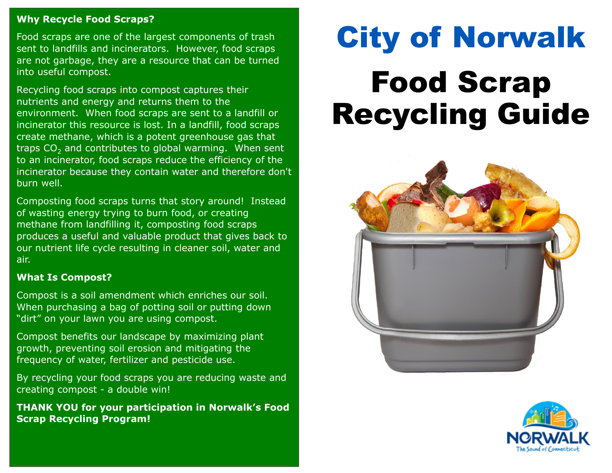#### **Why Recycle Food Scraps?**

Food scraps are one of the largest components of trash sent to landfills and incinerators. However, food scraps are not garbage, they are a resource that can be turned into useful compost.

Recycling food scraps into compost captures their nutrients and energy and returns them to the environment. When food scraps are sent to a landfill or incinerator this resource is lost. In a landfill, food scraps create methane, which is a potent greenhouse gas that traps  $CO<sub>2</sub>$  and contributes to global warming. When sent to an incinerator, food scraps reduce the efficiency of the incinerator because they contain water and therefore don't burn well.

Composting food scraps turns that story around! Instead of wasting energy trying to burn food, or creating methane from landfilling it, composting food scraps produces a useful and valuable product that gives back to our nutrient life cycle resulting in cleaner soil, water and air.

#### **What Is Compost?**

Compost is a soil amendment which enriches our soil. When purchasing a bag of potting soil or putting down "dirt" on your lawn you are using compost.

Compost benefits our landscape by maximizing plant growth, preventing soil erosion and mitigating the frequency of water, fertilizer and pesticide use.

By recycling your food scraps you are reducing waste and creating compost - a double win!

**THANK YOU for your participation in Norwalk's Food Scrap Recycling Program!** 

# City of Norwalk Food Scrap Recycling Guide